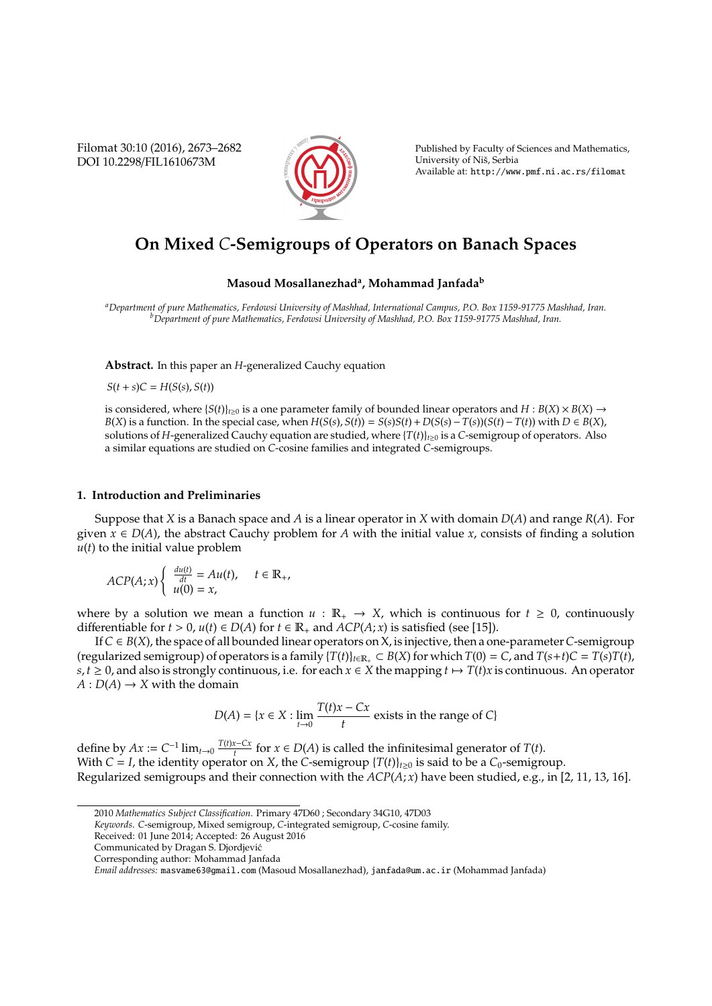Filomat 30:10 (2016), 2673–2682 DOI 10.2298/FIL1610673M



Published by Faculty of Sciences and Mathematics, University of Niš, Serbia Available at: http://www.pmf.ni.ac.rs/filomat

# **On Mixed** *C***-Semigroups of Operators on Banach Spaces**

# **Masoud Mosallanezhad<sup>a</sup> , Mohammad Janfada<sup>b</sup>**

*<sup>a</sup>Department of pure Mathematics, Ferdowsi University of Mashhad, International Campus, P.O. Box 1159-91775 Mashhad, Iran. <sup>b</sup>Department of pure Mathematics, Ferdowsi University of Mashhad, P.O. Box 1159-91775 Mashhad, Iran.*

**Abstract.** In this paper an *H*-generalized Cauchy equation

 $S(t + s)C = H(S(s), S(t))$ 

is considered, where  ${S(t)}_{t\ge0}$  is a one parameter family of bounded linear operators and  $H : B(X) \times B(X) \to$  $B(X)$  is a function. In the special case, when  $H(S(s), S(t)) = S(s)S(t) + D(S(s) - T(s))(S(t) - T(t))$  with  $D \in B(X)$ , solutions of *H*-generalized Cauchy equation are studied, where  ${T(t)}_{t\geq0}$  is a *C*-semigroup of operators. Also a similar equations are studied on *C*-cosine families and integrated *C*-semigroups.

### **1. Introduction and Preliminaries**

Suppose that *X* is a Banach space and *A* is a linear operator in *X* with domain *D*(*A*) and range *R*(*A*). For given  $x \in D(A)$ , the abstract Cauchy problem for *A* with the initial value *x*, consists of finding a solution  $u(t)$  to the initial value problem

$$
ACP(A; x) \begin{cases} \frac{du(t)}{dt} = Au(t), & t \in \mathbb{R}_+, \\ u(0) = x, & \end{cases}
$$

where by a solution we mean a function  $u : \mathbb{R}_+ \to X$ , which is continuous for  $t \geq 0$ , continuously differentiable for *t* > 0, *u*(*t*) ∈ *D*(*A*) for *t* ∈  $\mathbb{R}_+$  and *ACP*(*A*; *x*) is satisfied (see [15]).

If*C* ∈ *B*(*X*), the space of all bounded linear operators on X, is injective, then a one-parameter*C*-semigroup (regularized semigroup) of operators is a family  $\{T(t)\}_{t\in\mathbb{R}_+} \subset B(X)$  for which  $T(0) = C$ , and  $T(s+t)C = T(s)T(t)$ ,  $s, t \geq 0$ , and also is strongly continuous, i.e. for each  $x \in X$  the mapping  $t \mapsto T(t)x$  is continuous. An operator  $A: D(A) \rightarrow X$  with the domain

$$
D(A) = \{x \in X : \lim_{t \to 0} \frac{T(t)x - Cx}{t} \text{ exists in the range of } C\}
$$

define by  $Ax := C^{-1} \lim_{t \to 0} \frac{T(t)x - Cx}{t}$ *t*  $\frac{x - Cx}{t}$  for *x* ∈ *D*(*A*) is called the infinitesimal generator of *T*(*t*). With *C* = *I*, the identity operator on *X*, the *C*-semigroup  $\{T(t)\}_{t\geq0}$  is said to be a *C*<sub>0</sub>-semigroup. Regularized semigroups and their connection with the *ACP*(*A*; *x*) have been studied, e.g., in [2, 11, 13, 16].

<sup>2010</sup> *Mathematics Subject Classification*. Primary 47D60 ; Secondary 34G10, 47D03

*Keywords*. *C*-semigroup, Mixed semigroup, *C*-integrated semigroup, *C*-cosine family.

Received: 01 June 2014; Accepted: 26 August 2016

Communicated by Dragan S. Djordjevic´

Corresponding author: Mohammad Janfada

*Email addresses:* masvame63@gmail.com (Masoud Mosallanezhad), janfada@um.ac.ir (Mohammad Janfada)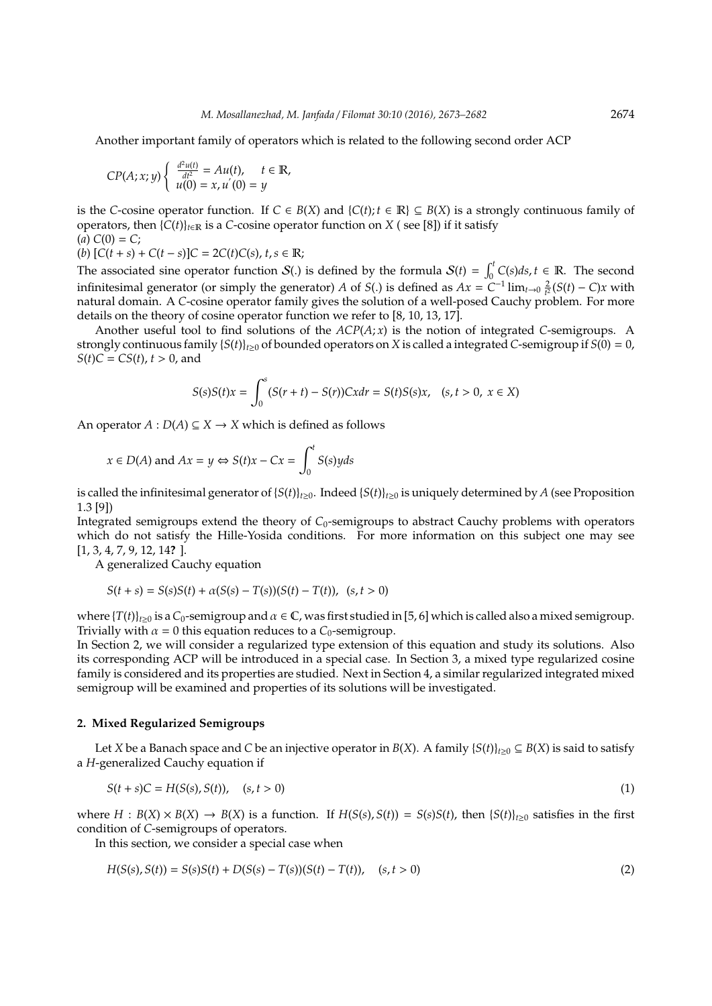Another important family of operators which is related to the following second order ACP

$$
CP(A; x; y) \begin{cases} \frac{d^2u(t)}{dt^2} = Au(t), & t \in \mathbb{R}, \\ u(0) = x, u'(0) = y \end{cases}
$$

is the *C*-cosine operator function. If *C* ∈ *B*(*X*) and {*C*(*t*); *t* ∈ **R**} ⊆ *B*(*X*) is a strongly continuous family of operators, then  $\{C(t)\}_{t\in\mathbb{R}}$  is a *C*-cosine operator function on *X* (see [8]) if it satisfy  $(a) C(0) = C;$ 

(*b*)  $[C(t + s) + C(t - s)]C = 2C(t)C(s), t, s \in \mathbb{R}$ ;

The associated sine operator function  $S(.)$  is defined by the formula  $S(t) = \int_0^t C(s)ds$ ,  $t \in \mathbb{R}$ . The second infinitesimal generator (or simply the generator) *A* of *S*(*.*) is defined as  $Ax = C^{-1} \lim_{t \to 0} \frac{2}{t^2} (S(t) - C)x$  with natural domain. A *C*-cosine operator family gives the solution of a well-posed Cauchy problem. For more details on the theory of cosine operator function we refer to [8, 10, 13, 17].

Another useful tool to find solutions of the *ACP*(*A*; *x*) is the notion of integrated *C*-semigroups. A strongly continuous family  ${S(t)}_{t\ge0}$  of bounded operators on *X* is called a integrated *C*-semigroup if  $S(0) = 0$ ,  $S(t)C = CS(t), t > 0$ , and

$$
S(s)S(t)x = \int_0^s (S(r+t) - S(r))Cxdr = S(t)S(s)x, \quad (s, t > 0, \ x \in X)
$$

An operator  $A: D(A) \subseteq X \rightarrow X$  which is defined as follows

$$
x \in D(A)
$$
 and  $Ax = y \Leftrightarrow S(t)x - Cx = \int_0^t S(s)yds$ 

is called the infinitesimal generator of  ${S(t)}_{t\geq0}$ . Indeed  ${S(t)}_{t\geq0}$  is uniquely determined by *A* (see Proposition 1.3 [9])

Integrated semigroups extend the theory of *C*<sub>0</sub>-semigroups to abstract Cauchy problems with operators which do not satisfy the Hille-Yosida conditions. For more information on this subject one may see [1, 3, 4, 7, 9, 12, 14**?** ].

A generalized Cauchy equation

$$
S(t+s) = S(s)S(t) + \alpha(S(s) - T(s))(S(t) - T(t)), \ (s, t > 0)
$$

where  $\{T(t)\}_{t\geq0}$  is a  $C_0$ -semigroup and  $\alpha \in \mathbb{C}$ , was first studied in [5, 6] which is called also a mixed semigroup. Trivially with  $\alpha = 0$  this equation reduces to a  $C_0$ -semigroup.

In Section 2, we will consider a regularized type extension of this equation and study its solutions. Also its corresponding ACP will be introduced in a special case. In Section 3, a mixed type regularized cosine family is considered and its properties are studied. Next in Section 4, a similar regularized integrated mixed semigroup will be examined and properties of its solutions will be investigated.

## **2. Mixed Regularized Semigroups**

Let *X* be a Banach space and *C* be an injective operator in *B*(*X*). A family  $\{S(t)\}_{t\geq0}\subseteq B(X)$  is said to satisfy a *H*-generalized Cauchy equation if

$$
S(t+s)C = H(S(s), S(t)), (s, t > 0)
$$
\n(1)

where  $H : B(X) \times B(X) \to B(X)$  is a function. If  $H(S(s), S(t)) = S(s)S(t)$ , then  $\{S(t)\}_{t\geq0}$  satisfies in the first condition of *C*-semigroups of operators.

In this section, we consider a special case when

$$
H(S(s), S(t)) = S(s)S(t) + D(S(s) - T(s))(S(t) - T(t)), \quad (s, t > 0)
$$
\n(2)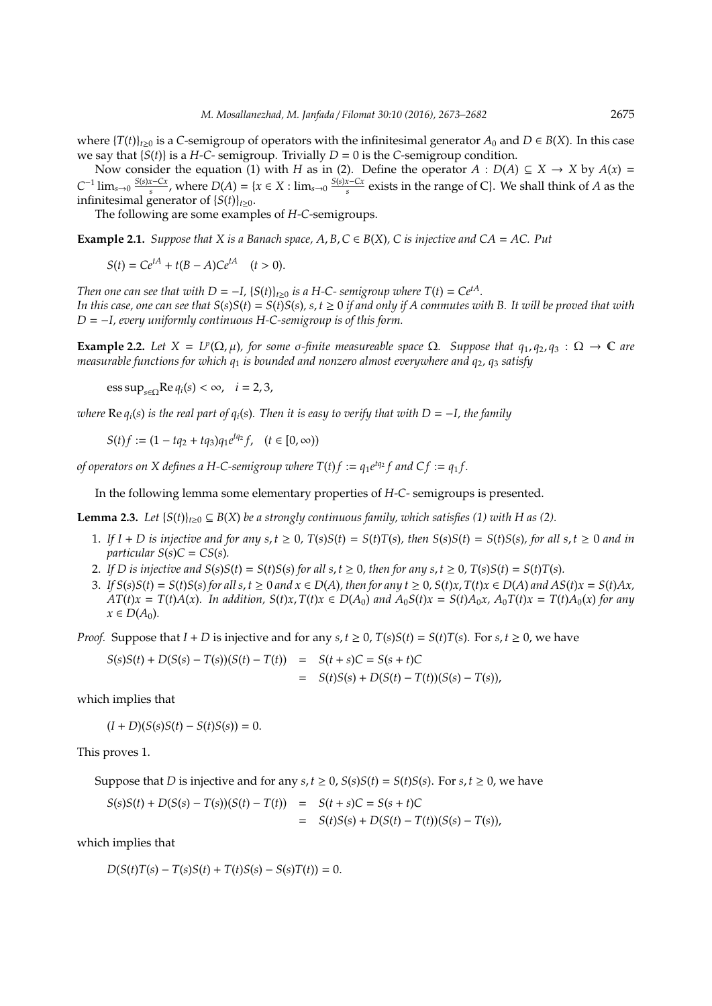where  $\{T(t)\}_{t>0}$  is a *C*-semigroup of operators with the infinitesimal generator  $A_0$  and  $D \in B(X)$ . In this case we say that  ${S(t)}$  is a *H*-*C*- semigroup. Trivially *D* = 0 is the *C*-semigroup condition.

Now consider the equation (1) with *H* as in (2). Define the operator  $A : D(A) \subseteq X \rightarrow X$  by  $A(x) =$  $C^{-1}$   $\lim_{s\to 0} \frac{S(s)x-Cx}{s}$  $\frac{x - Cx}{s}$ , where  $D(A) = \{x \in X : \lim_{s \to 0} \frac{S(s)x - Cx}{s}\}$  $\frac{x - Cx}{s}$  exists in the range of C}. We shall think of *A* as the infinitesimal generator of  ${S(t)}_{t>0}$ .

The following are some examples of *H*-*C*-semigroups.

**Example 2.1.** *Suppose that X is a Banach space, A, B, C*  $\in$  *B*(*X*)*, C is injective and CA* = *AC. Put* 

 $S(t) = Ce^{tA} + t(B - A)Ce^{tA}$  (*t* > 0).

*Then one can see that with*  $D = -I$ ,  ${S(t)}_{t\geq0}$  *is a H-C- semigroup where*  $T(t) = Ce^{tA}$ *. In this case, one can see that*  $S(s)S(t) = S(t)S(s)$ ,  $s, t \ge 0$  *if and only if A commutes with* B. It will be proved that with *D* = −*I, every uniformly continuous H-C-semigroup is of this form.*

**Example 2.2.** Let  $X = L^p(\Omega, \mu)$ , for some  $\sigma$ -finite measureable space  $\Omega$ . Suppose that  $q_1, q_2, q_3 : \Omega \to \mathbb{C}$  are *measurable functions for which q*<sup>1</sup> *is bounded and nonzero almost everywhere and q*2*, q*<sup>3</sup> *satisfy*

 $\text{ess sup}_{s \in \Omega} \text{Re } q_i(s) < \infty$ ,  $i = 2, 3$ ,

*where*  $\text{Re } q_i(s)$  *is the real part of*  $q_i(s)$ *. Then it is easy to verify that with*  $D = -I$ *, the family* 

*S*(*t*)*f* :=  $(1 - tq_2 + tq_3)q_1e^{tq_2}f$ ,  $(t \in [0, \infty))$ 

*of operators on X defines a H-C-semigroup where*  $T(t)f := q_1 e^{tq_2} f$  and  $Cf := q_1 f$ .

In the following lemma some elementary properties of *H*-*C*- semigroups is presented.

**Lemma 2.3.** Let  $\{S(t)\}_{t>0} \subseteq B(X)$  be a strongly continuous family, which satisfies (1) with H as (2).

- 1. If  $I + D$  is injective and for any  $s, t \ge 0$ ,  $T(s)S(t) = S(t)T(s)$ , then  $S(s)S(t) = S(t)S(s)$ , for all  $s, t \ge 0$  and in *particular*  $S(s)C = CS(s)$ *.*
- 2. If D is injective and  $S(s)S(t) = S(t)S(s)$  for all  $s, t \ge 0$ , then for any  $s, t \ge 0$ ,  $T(s)S(t) = S(t)T(s)$ .
- 3. If  $S(s)S(t) = S(t)S(s)$  for all  $s, t \ge 0$  and  $x \in D(A)$ , then for any  $t \ge 0$ ,  $S(t)x$ ,  $T(t)x \in D(A)$  and  $AS(t)x = S(t)Ax$ ,  $AT(t)x = T(t)A(x)$ . In addition,  $S(t)x$ ,  $T(t)x \in D(A_0)$  and  $A_0S(t)x = S(t)A_0x$ ,  $A_0T(t)x = T(t)A_0(x)$  for any  $x \in D(A_0)$ .

*Proof.* Suppose that  $I + D$  is injective and for any  $s, t \ge 0$ ,  $T(s)S(t) = S(t)T(s)$ . For  $s, t \ge 0$ , we have

$$
S(s)S(t) + D(S(s) - T(s))(S(t) - T(t)) = S(t + s)C = S(s + t)C
$$
  
= 
$$
S(t)S(s) + D(S(t) - T(t))(S(s) - T(s)),
$$

which implies that

 $(I + D)(S(s)S(t) - S(t)S(s)) = 0.$ 

This proves 1.

Suppose that *D* is injective and for any  $s, t \ge 0$ ,  $S(s)S(t) = S(t)S(s)$ . For  $s, t \ge 0$ , we have

$$
S(s)S(t) + D(S(s) - T(s))(S(t) - T(t)) = S(t + s)C = S(s + t)C
$$
  
= 
$$
S(t)S(s) + D(S(t) - T(t))(S(s) - T(s)),
$$

which implies that

 $D(S(t)T(s) - T(s)S(t) + T(t)S(s) - S(s)T(t)) = 0.$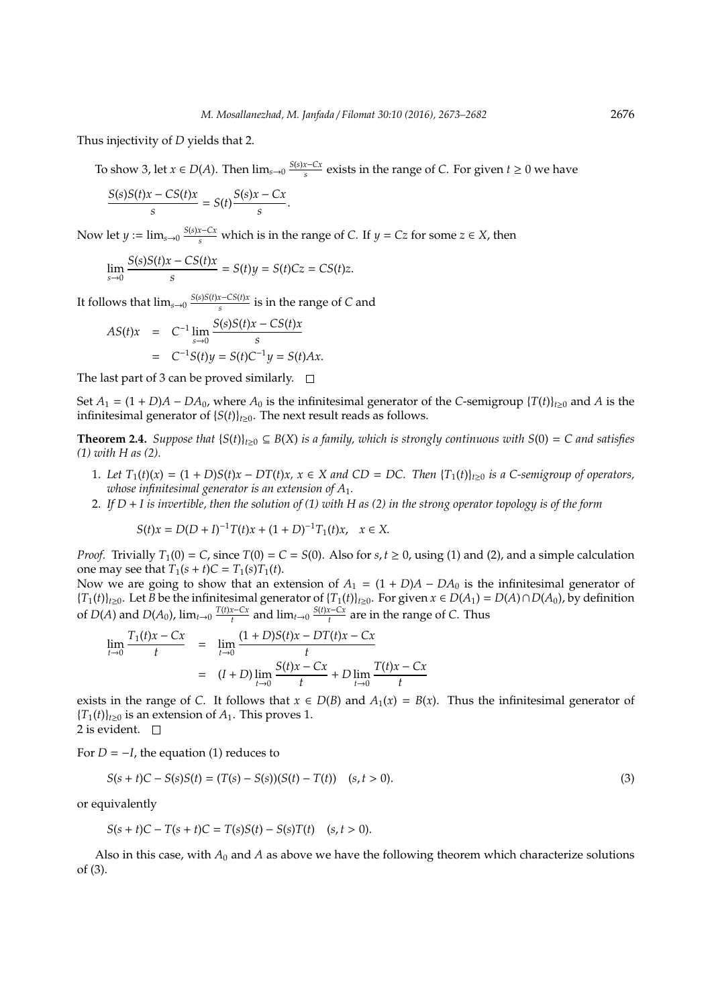Thus injectivity of *D* yields that 2.

To show 3, let  $x \in D(A)$ . Then  $\lim_{s\to 0} \frac{S(s)x-Cx}{s}$  $\frac{x - Cx}{s}$  exists in the range of *C*. For given  $t \ge 0$  we have

$$
\frac{S(s)S(t)x - CS(t)x}{s} = S(t)\frac{S(s)x - Cx}{s}.
$$

Now let  $y := \lim_{s \to 0} \frac{S(s)x - Cx}{s}$  which is in the range of *C*. If  $y = Cz$  for some  $z \in X$ , then

$$
\lim_{s \to 0} \frac{S(s)S(t)x - CS(t)x}{s} = S(t)y = S(t)Cz = CS(t)z.
$$

It follows that  $\lim_{s\to 0} \frac{S(s)S(t)x - CS(t)x}{s}$  $\frac{x-\cos(t)x}{s}$  is in the range of *C* and

$$
AS(t)x = C^{-1} \lim_{s \to 0} \frac{S(s)S(t)x - CS(t)x}{s}
$$
  
= C^{-1}S(t)y = S(t)C^{-1}y = S(t)Ax.

The last part of 3 can be proved similarly.  $\square$ 

Set  $A_1 = (1 + D)A - D A_0$ , where  $A_0$  is the infinitesimal generator of the *C*-semigroup  $\{T(t)\}_{t>0}$  and *A* is the infinitesimal generator of  ${S(t)}_{t\geq0}$ . The next result reads as follows.

**Theorem 2.4.** *Suppose that*  ${S(t)}_{t\geq0}\subseteq B(X)$  *is a family, which is strongly continuous with*  $S(0) = C$  *and satisfies (1) with H as (2).*

- 1. Let  $T_1(t)(x) = (1 + D)S(t)x DT(t)x$ ,  $x \in X$  and  $CD = DC$ . Then  $\{T_1(t)\}_{t \geq 0}$  is a C-semigroup of operators, *whose infinitesimal generator is an extension of A*1*.*
- 2. *If D* + *I is invertible, then the solution of (1) with H as (2) in the strong operator topology is of the form*

$$
S(t)x = D(D+I)^{-1}T(t)x + (1+D)^{-1}T_1(t)x, \quad x \in X.
$$

*Proof.* Trivially  $T_1(0) = C$ , since  $T(0) = C = S(0)$ . Also for  $s, t \ge 0$ , using (1) and (2), and a simple calculation one may see that  $T_1(s + t)C = T_1(s)T_1(t)$ .

Now we are going to show that an extension of  $A_1 = (1 + D)A - DA_0$  is the infinitesimal generator of {*T*1(*t*)}*t*≥0. Let *B* be the infinitesimal generator of {*T*1(*t*)}*t*≥0. For given *x* ∈ *D*(*A*1) = *D*(*A*)∩*D*(*A*0), by definition of *D*(*A*) and *D*(*A*<sub>0</sub>), lim<sub>*t*→0</sub>  $\frac{T(t)x-Cx}{t}$  $\int_{t}^{x-Cx}$  and  $\lim_{t\to 0} \frac{S(t)x-Cx}{t}$  $\frac{d^2 - C_x}{dt}$  are in the range of *C*. Thus

$$
\lim_{t \to 0} \frac{T_1(t)x - Cx}{t} = \lim_{t \to 0} \frac{(1+D)S(t)x - DT(t)x - Cx}{t}
$$

$$
= (I+D)\lim_{t \to 0} \frac{S(t)x - Cx}{t} + D\lim_{t \to 0} \frac{T(t)x - Cx}{t}
$$

exists in the range of *C*. It follows that  $x \in D(B)$  and  $A_1(x) = B(x)$ . Thus the infinitesimal generator of  ${T_1(t)}_{t\geq0}$  is an extension of  $A_1$ . This proves 1.

2 is evident.  $\quad \Box$ 

For  $D = -I$ , the equation (1) reduces to

$$
S(s+t)C - S(s)S(t) = (T(s) - S(s))(S(t) - T(t)) \quad (s, t > 0).
$$
\n(3)

or equivalently

$$
S(s + t)C - T(s + t)C = T(s)S(t) - S(s)T(t) \quad (s, t > 0).
$$

Also in this case, with  $A_0$  and  $A$  as above we have the following theorem which characterize solutions of (3).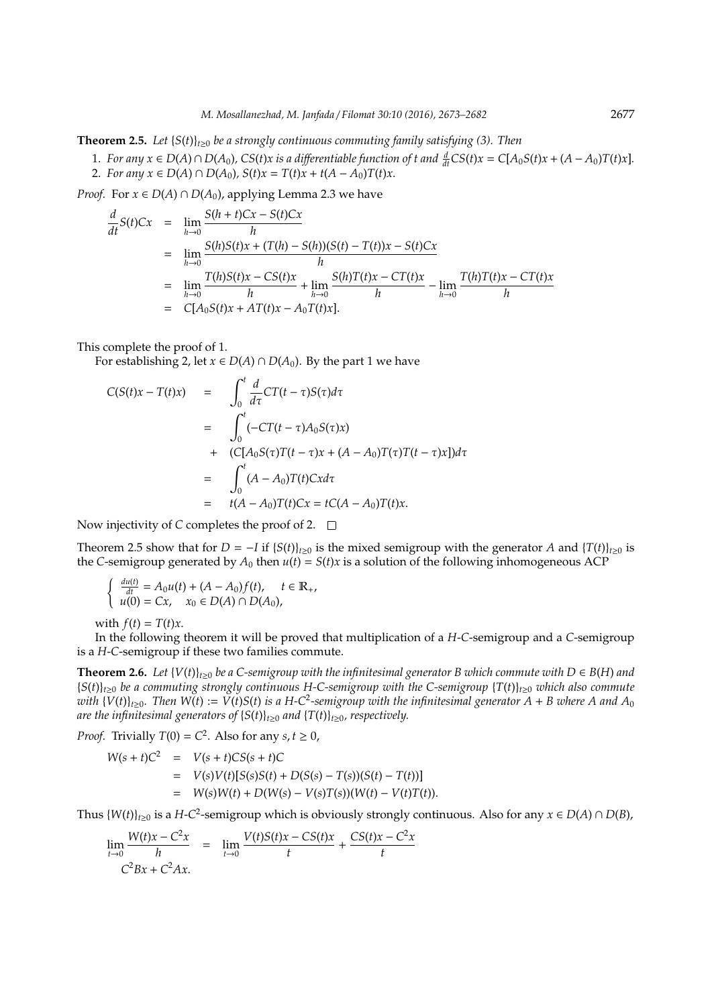**Theorem 2.5.** Let  $\{S(t)\}_{t>0}$  be a strongly continuous commuting family satisfying (3). Then

1. For any  $x \in D(A) \cap D(A_0)$ , CS(t)x is a differentiable function of t and  $\frac{d}{dt}CS(t)x = C[A_0S(t)x + (A-A_0)T(t)x]$ . 2. *For any*  $x \in D(A) \cap D(A_0)$ ,  $S(t)x = T(t)x + t(A - A_0)T(t)x$ .

*Proof.* For  $x \in D(A) \cap D(A_0)$ , applying Lemma 2.3 we have

$$
\frac{d}{dt}S(t)Cx = \lim_{h \to 0} \frac{S(h+t)Cx - S(t)Cx}{h}
$$
\n
$$
= \lim_{h \to 0} \frac{S(h)S(t)x + (T(h) - S(h))(S(t) - T(t))x - S(t)Cx}{h}
$$
\n
$$
= \lim_{h \to 0} \frac{T(h)S(t)x - CS(t)x}{h} + \lim_{h \to 0} \frac{S(h)T(t)x - CT(t)x}{h} - \lim_{h \to 0} \frac{T(h)T(t)x - CT(t)x}{h}
$$
\n
$$
= C[A_0S(t)x + AT(t)x - A_0T(t)x].
$$

This complete the proof of 1.

For establishing 2, let *x* ∈ *D*(*A*) ∩ *D*(*A*<sub>0</sub>). By the part 1 we have

$$
C(S(t)x - T(t)x) = \int_0^t \frac{d}{d\tau} CT(t - \tau)S(\tau)d\tau
$$
  
\n
$$
= \int_0^t (-CT(t - \tau)A_0S(\tau)x)
$$
  
\n+  $(C[A_0S(\tau)T(t - \tau)x + (A - A_0)T(\tau)T(t - \tau)x])d\tau$   
\n
$$
= \int_0^t (A - A_0)T(t)Cxd\tau
$$
  
\n
$$
= t(A - A_0)T(t)Cx = tC(A - A_0)T(t)x.
$$

Now injectivity of *C* completes the proof of 2. □

Theorem 2.5 show that for  $D = -I$  if  ${S(t)}_{t\ge0}$  is the mixed semigroup with the generator *A* and  ${T(t)}_{t\ge0}$  is the *C*-semigroup generated by  $A_0$  then  $u(t) = S(t)x$  is a solution of the following inhomogeneous ACP

$$
\begin{cases} \frac{du(t)}{dt} = A_0 u(t) + (A - A_0) f(t), \quad t \in \mathbb{R}_+, \\ u(0) = Cx, \quad x_0 \in D(A) \cap D(A_0), \end{cases}
$$

with  $f(t) = T(t)x$ .

In the following theorem it will be proved that multiplication of a *H*-*C*-semigroup and a *C*-semigroup is a *H*-*C*-semigroup if these two families commute.

**Theorem 2.6.** *Let*  ${V(t)}_{t>0}$  *be a C-semigroup with the infinitesimal generator B which commute with*  $D \in B(H)$  *and*  ${S(t)}_{t>0}$  *be a commuting strongly continuous H-C-semigroup with the C-semigroup*  ${T(t)}_{t>0}$  *which also commute with*  $\{V(t)\}_{t\geq0}$ . Then  $W(t):=V(t)S(t)$  is a H-C<sup>2</sup>-semigroup with the infinitesimal generator A + B where A and A<sub>0</sub> *are the infinitesimal generators of*  ${S(t)}_{t\geq0}$  *and*  ${T(t)}_{t\geq0}$ *, respectively.* 

*Proof.* Trivially  $T(0) = C^2$ . Also for any  $s, t \ge 0$ ,

$$
W(s+t)C^2 = V(s+t)CS(s+t)C
$$
  
=  $V(s)V(t)[S(s)S(t) + D(S(s) - T(s))(S(t) - T(t))]$   
=  $W(s)W(t) + D(W(s) - V(s)T(s))(W(t) - V(t)T(t)).$ 

Thus  $\{W(t)\}_{t\geq0}$  is a *H*-*C*<sup>2</sup>-semigroup which is obviously strongly continuous. Also for any  $x \in D(A) \cap D(B)$ ,

$$
\lim_{t \to 0} \frac{W(t)x - C^2x}{h} = \lim_{t \to 0} \frac{V(t)S(t)x - CS(t)x}{t} + \frac{CS(t)x - C^2x}{t}
$$

$$
C^2Bx + C^2Ax.
$$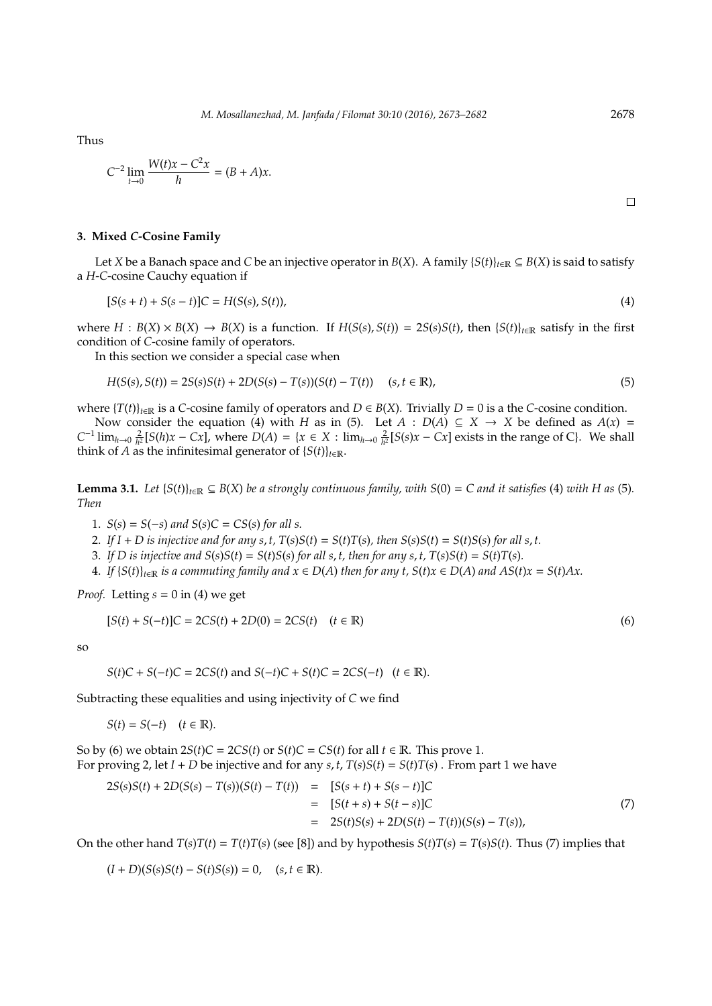Thus

$$
C^{-2} \lim_{t \to 0} \frac{W(t)x - C^2 x}{h} = (B + A)x.
$$

 $\Box$ 

### **3. Mixed** *C***-Cosine Family**

Let *X* be a Banach space and *C* be an injective operator in *B*(*X*). A family  ${S(t)}_{t\in\mathbb{R}} \subseteq B(X)$  is said to satisfy a *H*-*C*-cosine Cauchy equation if

$$
[S(s+t) + S(s-t)]C = H(S(s), S(t)),
$$
\n(4)

where  $H : B(X) \times B(X) \to B(X)$  is a function. If  $H(S(s), S(t)) = 2S(s)S(t)$ , then  $\{S(t)\}_{t \in \mathbb{R}}$  satisfy in the first condition of *C*-cosine family of operators.

In this section we consider a special case when

$$
H(S(s), S(t)) = 2S(s)S(t) + 2D(S(s) - T(s))(S(t) - T(t)) \quad (s, t \in \mathbb{R}),
$$
\n(5)

where  ${T(t)}_{t\in\mathbb{R}}$  is a *C*-cosine family of operators and  $D \in B(X)$ . Trivially  $D = 0$  is a the *C*-cosine condition.

Now consider the equation (4) with *H* as in (5). Let  $A : D(A) \subseteq X \rightarrow X$  be defined as  $A(x) =$  $C^{-1}$   $\lim_{h\to 0} \frac{2}{h^2} [S(h)x - Cx]$ , where  $D(A) = \{x \in X : \lim_{h\to 0} \frac{2}{h^2} [S(s)x - Cx]$  exists in the range of C. We shall think of *A* as the infinitesimal generator of  ${S(t)}_{t \in \mathbb{R}}$ .

**Lemma 3.1.** *Let*  $\{S(t)\}_{t\in\mathbb{R}} \subseteq B(X)$  *be a strongly continuous family, with*  $S(0) = C$  *and it satisfies* (4) *with H as* (5)*. Then*

1.  $S(s) = S(-s)$  and  $S(s)C = CS(s)$  for all s.

- 2. If  $I + D$  is injective and for any s, t,  $T(s)S(t) = S(t)T(s)$ , then  $S(s)S(t) = S(t)S(s)$  for all s, t.
- 3. If D is injective and  $S(s)S(t) = S(t)S(s)$  for all s, t, then for any s, t,  $T(s)S(t) = S(t)T(s)$ .
- 4. If  $\{S(t)\}_{t\in\mathbb{R}}$  is a commuting family and  $x \in D(A)$  then for any t,  $S(t)x \in D(A)$  and  $AS(t)x = S(t)Ax$ .

*Proof.* Letting *s* = 0 in (4) we get

$$
[S(t) + S(-t)]C = 2CS(t) + 2D(0) = 2CS(t) \quad (t \in \mathbb{R})
$$
\n(6)

so

$$
S(t)C + S(-t)C = 2CS(t)
$$
 and  $S(-t)C + S(t)C = 2CS(-t)$   $(t \in \mathbb{R})$ .

Subtracting these equalities and using injectivity of *C* we find

 $S(t) = S(-t)$  (*t* ∈ R).

So by (6) we obtain  $2S(t)C = 2CS(t)$  or  $S(t)C = CS(t)$  for all  $t \in \mathbb{R}$ . This prove 1. For proving 2, let  $I + D$  be injective and for any  $s, t, T(s)S(t) = S(t)T(s)$ . From part 1 we have

$$
2S(s)S(t) + 2D(S(s) - T(s))(S(t) - T(t)) = [S(s + t) + S(s - t)]C
$$
  
= 
$$
[S(t + s) + S(t - s)]C
$$
  
= 
$$
2S(t)S(s) + 2D(S(t) - T(t))(S(s) - T(s)),
$$
 (7)

On the other hand  $T(s)T(t) = T(t)T(s)$  (see [8]) and by hypothesis  $S(t)T(s) = T(s)S(t)$ . Thus (7) implies that

$$
(I + D)(S(s)S(t) - S(t)S(s)) = 0
$$
,  $(s, t \in \mathbb{R})$ .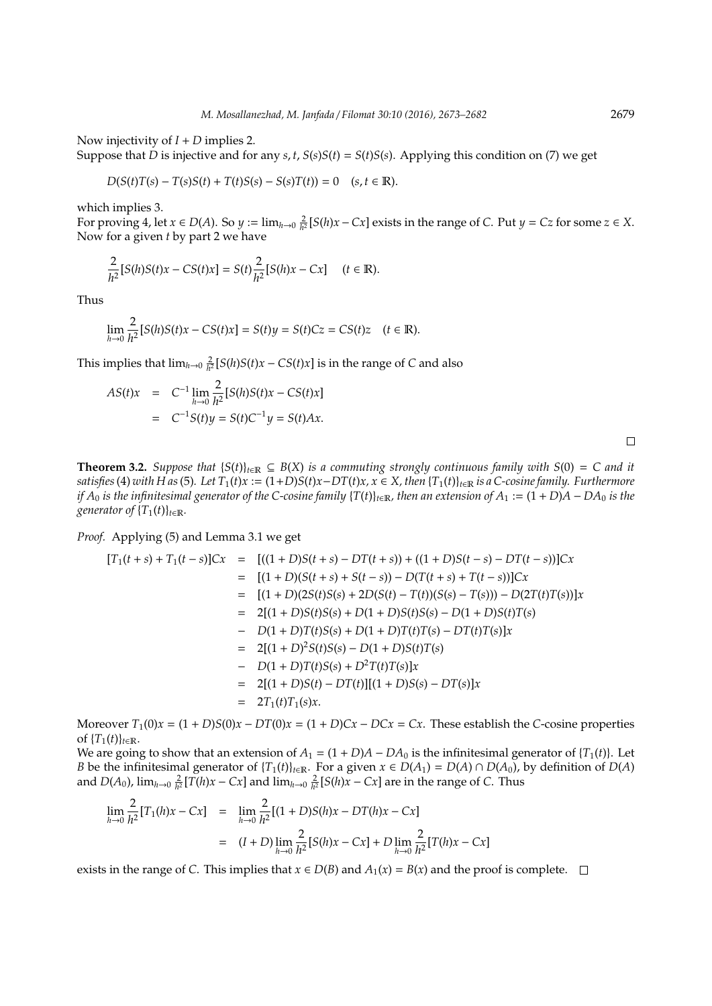Now injectivity of *I* + *D* implies 2.

Suppose that *D* is injective and for any *s*, *t*,  $S(s)S(t) = S(t)S(s)$ . Applying this condition on (7) we get

$$
D(S(t)T(s) - T(s)S(t) + T(t)S(s) - S(s)T(t)) = 0 \quad (s, t \in \mathbb{R}).
$$

which implies 3.

For proving 4, let  $x \in D(A)$ . So  $y := \lim_{h \to 0} \frac{2}{h^2} [S(h)x - Cx]$  exists in the range of *C*. Put  $y = Cz$  for some  $z \in X$ . Now for a given *t* by part 2 we have

$$
\frac{2}{h^2}[S(h)S(t)x - CS(t)x] = S(t)\frac{2}{h^2}[S(h)x - Cx] \quad (t \in \mathbb{R}).
$$

Thus

$$
\lim_{h \to 0} \frac{2}{h^2} [S(h)S(t)x - CS(t)x] = S(t)y = S(t)Cz = CS(t)z \quad (t \in \mathbb{R}).
$$

This implies that  $\lim_{h\to 0} \frac{2}{h^2} [S(h)S(t)x - CS(t)x]$  is in the range of *C* and also

$$
AS(t)x = C^{-1} \lim_{h \to 0} \frac{2}{h^2} [S(h)S(t)x - CS(t)x]
$$
  
= C<sup>-1</sup>S(t)y = S(t)C<sup>-1</sup>y = S(t)Ax.

**Theorem 3.2.** *Suppose that*  ${S(t)}_{t∈R} ⊆ B(X)$  *is a commuting strongly continuous family with*  $S(0) = C$  *and it* satisfies (4) with H as (5). Let  $T_1(t)x := (1+D)S(t)x - DT(t)x$ ,  $x \in X$ , then  $\{T_1(t)\}_{t \in \mathbb{R}}$  is a C-cosine family. Furthermore *if*  $A_0$  *is the infinitesimal generator of the C-cosine family*  $\{T(t)\}_{t\in\mathbb{R}}$ *, then an extension of*  $A_1 := (1 + D)A - DA_0$  *is the generator of*  ${T_1(t)}_{t \in \mathbb{R}}$ *.* 

*Proof.* Applying (5) and Lemma 3.1 we get

$$
[T_1(t+s) + T_1(t-s)]Cx = [(1+D)S(t+s) - DT(t+s)) + ((1+D)S(t-s) - DT(t-s))]Cx
$$
  
\n
$$
= [(1+D)(S(t+s) + S(t-s)) - D(T(t+s) + T(t-s))]Cx
$$
  
\n
$$
= [(1+D)(2S(t)S(s) + 2D(S(t) - T(t))(S(s) - T(s))) - D(2T(t)T(s))]x
$$
  
\n
$$
= 2[(1+D)S(t)S(s) + D(1+D)S(t)S(s) - D(1+D)S(t)T(s)]
$$
  
\n
$$
= D(1+D)T(t)S(s) + D(1+D)T(t)T(s) - DT(t)T(s)]x
$$
  
\n
$$
= 2[(1+D)^2S(t)S(s) - D(1+D)S(t)T(s)]
$$
  
\n
$$
= D(1+D)T(t)S(s) + D^2T(t)T(s)]x
$$
  
\n
$$
= 2[T_1(t)T_1(s)x.
$$

Moreover  $T_1(0)x = (1 + D)S(0)x - DT(0)x = (1 + D)Cx - DCx = Cx$ . These establish the *C*-cosine properties of  ${T_1(t)}_{t \in \mathbb{R}}$ .

We are going to show that an extension of  $A_1 = (1 + D)A - DA_0$  is the infinitesimal generator of  $\{T_1(t)\}\)$ . Let *B* be the infinitesimal generator of  ${T_1(t)}_{t \in \mathbb{R}}$ . For a given  $x \in D(A_1) = D(A) \cap D(A_0)$ , by definition of  $D(A)$ and  $D(A_0)$ ,  $\lim_{h\to 0} \frac{2}{h^2} [\widetilde{T}(h)x - Cx]$  and  $\lim_{h\to 0} \frac{2}{h^2} [S(h)x - Cx]$  are in the range of *C*. Thus

$$
\lim_{h \to 0} \frac{2}{h^2} [T_1(h)x - Cx] = \lim_{h \to 0} \frac{2}{h^2} [(1+D)S(h)x - DT(h)x - Cx]
$$
  
=  $(I + D) \lim_{h \to 0} \frac{2}{h^2} [S(h)x - Cx] + D \lim_{h \to 0} \frac{2}{h^2} [T(h)x - Cx]$ 

exists in the range of *C*. This implies that *x* ∈ *D*(*B*) and *A*<sub>1</sub>(*x*) = *B*(*x*) and the proof is complete. □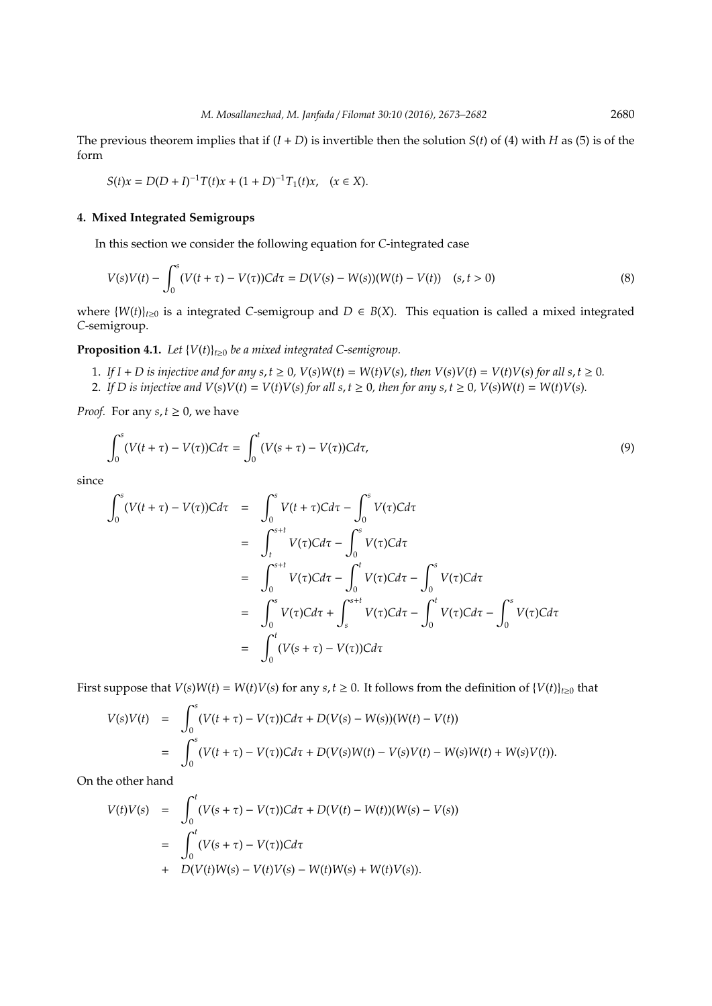The previous theorem implies that if  $(I + D)$  is invertible then the solution  $S(t)$  of (4) with *H* as (5) is of the form

$$
S(t)x=D(D+I)^{-1}T(t)x+(1+D)^{-1}T_1(t)x,\ \ \, (x\in X).
$$

## **4. Mixed Integrated Semigroups**

In this section we consider the following equation for *C*-integrated case

$$
V(s)V(t) - \int_0^s (V(t+\tau) - V(\tau))Cd\tau = D(V(s) - W(s))(W(t) - V(t)) \quad (s, t > 0)
$$
\n(8)

where  $\{W(t)\}_{t\geq0}$  is a integrated *C*-semigroup and  $D \in B(X)$ . This equation is called a mixed integrated *C*-semigroup.

**Proposition 4.1.** *Let*  ${V(t)}_{t\geq0}$  *be a mixed integrated C-semigroup.* 

- 1. If I + D is injective and for any  $s, t \ge 0$ ,  $V(s)W(t) = W(t)V(s)$ , then  $V(s)V(t) = V(t)V(s)$  for all  $s, t \ge 0$ .
- 2. If D is injective and  $V(s)V(t) = V(t)V(s)$  for all s,  $t \ge 0$ , then for any s,  $t \ge 0$ ,  $V(s)W(t) = W(t)V(s)$ .

*Proof.* For any *s*,  $t \geq 0$ , we have

$$
\int_0^s (V(t+\tau)-V(\tau))Cd\tau = \int_0^t (V(s+\tau)-V(\tau))Cd\tau,
$$
\n(9)

since

$$
\int_0^s (V(t+\tau) - V(\tau))Cd\tau = \int_0^s V(t+\tau)Cd\tau - \int_0^s V(\tau)Cd\tau
$$
  
\n
$$
= \int_t^{s+t} V(\tau)Cd\tau - \int_0^s V(\tau)Cd\tau
$$
  
\n
$$
= \int_0^{s+t} V(\tau)Cd\tau - \int_0^t V(\tau)Cd\tau - \int_0^s V(\tau)Cd\tau
$$
  
\n
$$
= \int_0^s V(\tau)Cd\tau + \int_s^{s+t} V(\tau)Cd\tau - \int_0^t V(\tau)Cd\tau - \int_0^s V(\tau)Cd\tau
$$
  
\n
$$
= \int_0^t (V(s+\tau) - V(\tau))Cd\tau
$$

First suppose that  $V(s)W(t) = W(t)V(s)$  for any  $s, t \ge 0$ . It follows from the definition of  $\{V(t)\}_{t \ge 0}$  that

$$
V(s)V(t) = \int_0^s (V(t+\tau) - V(\tau))Cd\tau + D(V(s) - W(s))(W(t) - V(t))
$$
  
= 
$$
\int_0^s (V(t+\tau) - V(\tau))Cd\tau + D(V(s)W(t) - V(s)V(t) - W(s)W(t) + W(s)V(t)).
$$

On the other hand

$$
V(t)V(s) = \int_0^t (V(s + \tau) - V(\tau))Cd\tau + D(V(t) - W(t))(W(s) - V(s))
$$
  
= 
$$
\int_0^t (V(s + \tau) - V(\tau))Cd\tau
$$
  
+ 
$$
D(V(t)W(s) - V(t)V(s) - W(t)W(s) + W(t)V(s)).
$$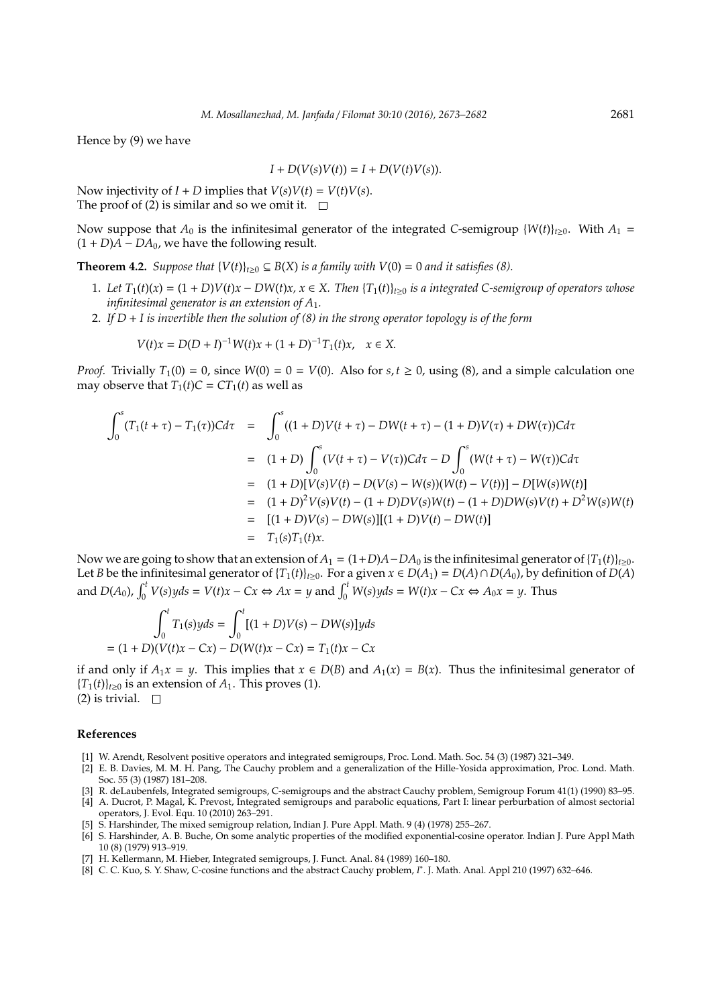Hence by (9) we have

$$
I + D(V(s)V(t)) = I + D(V(t)V(s)).
$$

Now injectivity of  $I + D$  implies that  $V(s)V(t) = V(t)V(s)$ . The proof of (2) is similar and so we omit it.  $\square$ 

Now suppose that  $A_0$  is the infinitesimal generator of the integrated *C*-semigroup  $\{W(t)\}_{t>0}$ . With  $A_1 =$  $(1 + D)A - DA_0$ , we have the following result.

**Theorem 4.2.** *Suppose that*  ${V(t)}_{t>0} \subseteq B(X)$  *is a family with*  $V(0) = 0$  *and it satisfies* (8).

- 1. Let  $T_1(t)(x) = (1+D)V(t)x DW(t)x$ ,  $x \in X$ . Then  $\{T_1(t)\}_{t \geq 0}$  is a integrated C-semigroup of operators whose *infinitesimal generator is an extension of A*1*.*
- 2. *If D* + *I is invertible then the solution of (8) in the strong operator topology is of the form*

$$
V(t)x = D(D+I)^{-1}W(t)x + (1+D)^{-1}T_1(t)x, \quad x \in X.
$$

*Proof.* Trivially  $T_1(0) = 0$ , since  $W(0) = 0 = V(0)$ . Also for  $s, t \ge 0$ , using (8), and a simple calculation one may observe that  $T_1(t)C = CT_1(t)$  as well as

$$
\int_0^s (T_1(t + \tau) - T_1(\tau))Cd\tau = \int_0^s ((1 + D)V(t + \tau) - DW(t + \tau) - (1 + D)V(\tau) + DW(\tau))Cd\tau
$$
  
\n
$$
= (1 + D)\int_0^s (V(t + \tau) - V(\tau))Cd\tau - D\int_0^s (W(t + \tau) - W(\tau))Cd\tau
$$
  
\n
$$
= (1 + D)[V(s)V(t) - D(V(s) - W(s))(W(t) - V(t))] - D[W(s)W(t)]
$$
  
\n
$$
= (1 + D)^2 V(s)V(t) - (1 + D)DV(s)W(t) - (1 + D)DW(s)V(t) + D^2W(s)W(t)
$$
  
\n
$$
= [ (1 + D)V(s) - DW(s)][(1 + D)V(t) - DW(t)]
$$
  
\n
$$
= T_1(s)T_1(t)x.
$$

Now we are going to show that an extension of  $A_1 = (1+D)A-DA_0$  is the infinitesimal generator of  $\{T_1(t)\}_{t>0}$ . Let *B* be the infinitesimal generator of  ${T_1(t)}_{t≥0}$ . For a given *x* ∈ *D*(*A*<sub>1</sub>) = *D*(*A*)∩*D*(*A*<sub>0</sub>), by definition of *D*(*A*) and  $D(A_0)$ ,  $\int_0^t V(s)yds = V(t)x - Cx \Leftrightarrow Ax = y$  and  $\int_0^t W(s)yds = W(t)x - Cx \Leftrightarrow A_0x = y$ . Thus

$$
\int_0^t T_1(s)yds = \int_0^t [(1+D)V(s) - DW(s)]yds
$$
  
=  $(1+D)(V(t)x - Cx) - D(W(t)x - Cx) = T_1(t)x - Cx$ 

if and only if *A*<sub>1</sub>*x* = *y*. This implies that *x* ∈ *D*(*B*) and *A*<sub>1</sub>(*x*) = *B*(*x*). Thus the infinitesimal generator of  ${T_1(t)}_{t\geq0}$  is an extension of  $A_1$ . This proves (1).

(2) is trivial.  $\square$ 

## **References**

- [1] W. Arendt, Resolvent positive operators and integrated semigroups, Proc. Lond. Math. Soc. 54 (3) (1987) 321–349.
- [2] E. B. Davies, M. M. H. Pang, The Cauchy problem and a generalization of the Hille-Yosida approximation, Proc. Lond. Math. Soc. 55 (3) (1987) 181–208.
- [3] R. deLaubenfels, Integrated semigroups, C-semigroups and the abstract Cauchy problem, Semigroup Forum 41(1) (1990) 83–95. [4] A. Ducrot, P. Magal, K. Prevost, Integrated semigroups and parabolic equations, Part I: linear perburbation of almost sectorial operators, J. Evol. Equ. 10 (2010) 263–291.
- [5] S. Harshinder, The mixed semigroup relation, Indian J. Pure Appl. Math. 9 (4) (1978) 255–267.
- [6] S. Harshinder, A. B. Buche, On some analytic properties of the modified exponential-cosine operator. Indian J. Pure Appl Math 10 (8) (1979) 913–919.
- [7] H. Kellermann, M. Hieber, Integrated semigroups, J. Funct. Anal. 84 (1989) 160–180.
- [8] C. C. Kuo, S. Y. Shaw, C-cosine functions and the abstract Cauchy problem, *I* ∗ . J. Math. Anal. Appl 210 (1997) 632–646.